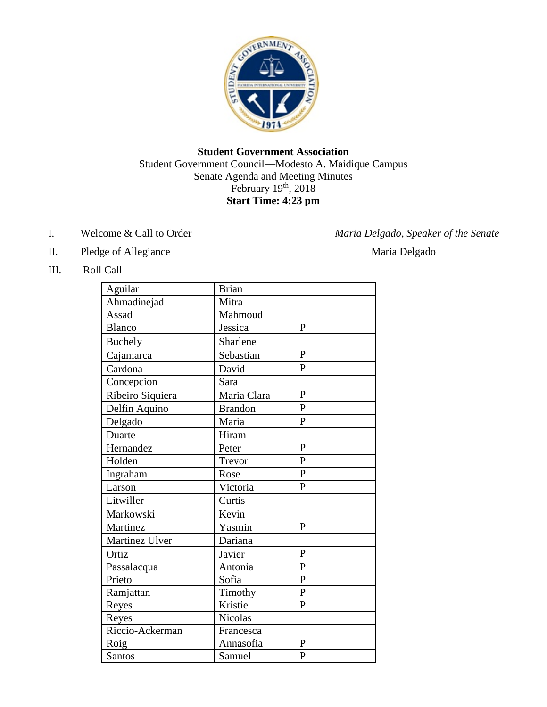

#### **Student Government Association** Student Government Council—Modesto A. Maidique Campus Senate Agenda and Meeting Minutes February 19<sup>th</sup>, 2018 **Start Time: 4:23 pm**

I. Welcome & Call to Order *Maria Delgado, Speaker of the Senate* 

- II. Pledge of Allegiance Maria Delgado
- III. Roll Call

| Aguilar          | <b>Brian</b>   |                |
|------------------|----------------|----------------|
| Ahmadinejad      | Mitra          |                |
| Assad            | Mahmoud        |                |
| <b>Blanco</b>    | Jessica        | $\mathbf{P}$   |
| Buchely          | Sharlene       |                |
| Cajamarca        | Sebastian      | $\mathbf{P}$   |
| Cardona          | David          | $\mathbf{P}$   |
| Concepcion       | Sara           |                |
| Ribeiro Siquiera | Maria Clara    | $\mathbf{P}$   |
| Delfin Aquino    | <b>Brandon</b> | $\overline{P}$ |
| Delgado          | Maria          | $\mathbf{P}$   |
| Duarte           | Hiram          |                |
| Hernandez        | Peter          | $\mathbf{P}$   |
| Holden           | Trevor         | $\mathbf{P}$   |
| Ingraham         | Rose           | $\mathbf{P}$   |
| Larson           | Victoria       | $\mathbf{P}$   |
| Litwiller        | Curtis         |                |
| Markowski        | Kevin          |                |
| Martinez         | Yasmin         | $\mathbf{P}$   |
| Martinez Ulver   | Dariana        |                |
| Ortiz            | Javier         | $\mathbf{P}$   |
| Passalacqua      | Antonia        | $\mathbf{P}$   |
| Prieto           | Sofia          | $\mathbf{P}$   |
| Ramjattan        | Timothy        | $\mathbf{P}$   |
| Reyes            | Kristie        | $\mathbf{P}$   |
| Reyes            | <b>Nicolas</b> |                |
| Riccio-Ackerman  | Francesca      |                |
| Roig             | Annasofia      | $\mathbf{P}$   |
| Santos           | Samuel         | $\mathbf{P}$   |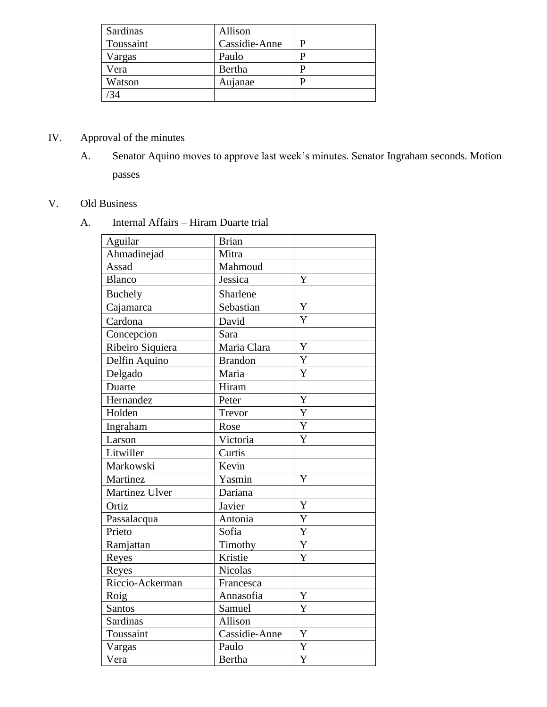| Sardinas  | Allison       |  |
|-----------|---------------|--|
| Toussaint | Cassidie-Anne |  |
| Vargas    | Paulo         |  |
| Vera      | Bertha        |  |
| Watson    | Aujanae       |  |
|           |               |  |

## IV. Approval of the minutes

A. Senator Aquino moves to approve last week's minutes. Senator Ingraham seconds. Motion passes

# V. Old Business

A. Internal Affairs – Hiram Duarte trial

| Aguilar          | <b>Brian</b>   |                         |
|------------------|----------------|-------------------------|
| Ahmadinejad      | Mitra          |                         |
| Assad            | Mahmoud        |                         |
| <b>Blanco</b>    | Jessica        | Y                       |
| <b>Buchely</b>   | Sharlene       |                         |
| Cajamarca        | Sebastian      | Y                       |
| Cardona          | David          | Y                       |
| Concepcion       | Sara           |                         |
| Ribeiro Siquiera | Maria Clara    | Y                       |
| Delfin Aquino    | <b>Brandon</b> | $\overline{Y}$          |
| Delgado          | Maria          | Y                       |
| Duarte           | Hiram          |                         |
| Hernandez        | Peter          | Y                       |
| Holden           | Trevor         | Y                       |
| Ingraham         | Rose           | Y                       |
| Larson           | Victoria       | Y                       |
| Litwiller        | Curtis         |                         |
| Markowski        | Kevin          |                         |
| Martinez         | Yasmin         | Y                       |
| Martinez Ulver   | Dariana        |                         |
| Ortiz            | Javier         | Y                       |
| Passalacqua      | Antonia        | Y                       |
| Prieto           | Sofia          | $\overline{Y}$          |
| Ramjattan        | Timothy        | $\overline{Y}$          |
| Reyes            | Kristie        | $\overline{\mathsf{Y}}$ |
| Reyes            | Nicolas        |                         |
| Riccio-Ackerman  | Francesca      |                         |
| Roig             | Annasofia      | Y                       |
| Santos           | Samuel         | Y                       |
| <b>Sardinas</b>  | Allison        |                         |
| Toussaint        | Cassidie-Anne  | Y                       |
| Vargas           | Paulo          | Y                       |
| Vera             | Bertha         | Y                       |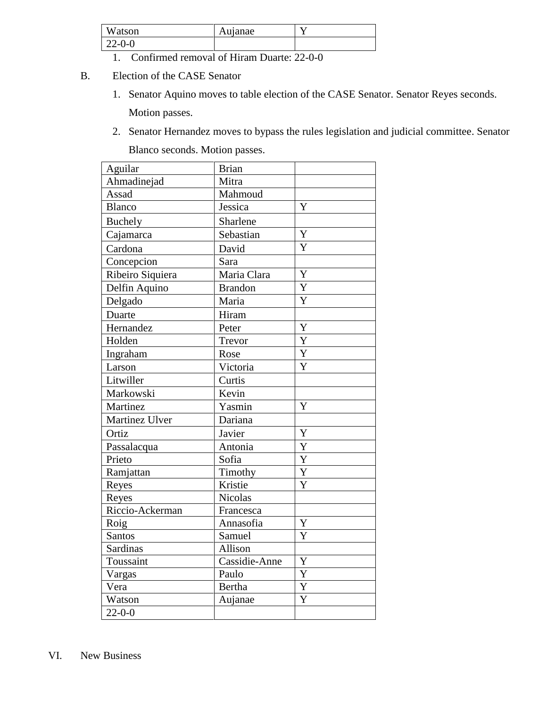| Watson<br>$\mathbf{I}$ | uanae<br>Au |  |
|------------------------|-------------|--|
| $22 - 0 - 0$           |             |  |

- 1. Confirmed removal of Hiram Duarte: 22-0-0
- B. Election of the CASE Senator
	- 1. Senator Aquino moves to table election of the CASE Senator. Senator Reyes seconds. Motion passes.
	- 2. Senator Hernandez moves to bypass the rules legislation and judicial committee. Senator Blanco seconds. Motion passes.

| Aguilar          | <b>Brian</b>   |                |
|------------------|----------------|----------------|
| Ahmadinejad      | Mitra          |                |
| Assad            | Mahmoud        |                |
| <b>Blanco</b>    | Jessica        | Y              |
| Buchely          | Sharlene       |                |
| Cajamarca        | Sebastian      | Y              |
| Cardona          | David          | Y              |
| Concepcion       | Sara           |                |
| Ribeiro Siquiera | Maria Clara    | Y              |
| Delfin Aquino    | <b>Brandon</b> | Y              |
| Delgado          | Maria          | Y              |
| Duarte           | Hiram          |                |
| Hernandez        | Peter          | Y              |
| Holden           | Trevor         | Y              |
| Ingraham         | Rose           | $\overline{Y}$ |
| Larson           | Victoria       | Y              |
| Litwiller        | Curtis         |                |
| Markowski        | Kevin          |                |
| Martinez         | Yasmin         | Y              |
| Martinez Ulver   | Dariana        |                |
| Ortiz            | Javier         | Y              |
| Passalacqua      | Antonia        | Y              |
| Prieto           | Sofia          | $\overline{Y}$ |
| Ramjattan        | Timothy        | Y              |
| Reyes            | Kristie        | Y              |
| Reyes            | <b>Nicolas</b> |                |
| Riccio-Ackerman  | Francesca      |                |
| Roig             | Annasofia      | Y              |
| Santos           | Samuel         | Y              |
| <b>Sardinas</b>  | Allison        |                |
| Toussaint        | Cassidie-Anne  | Y              |
| Vargas           | Paulo          | $\overline{Y}$ |
| Vera             | <b>Bertha</b>  | Y              |
| Watson           | Aujanae        | Y              |
| $22 - 0 - 0$     |                |                |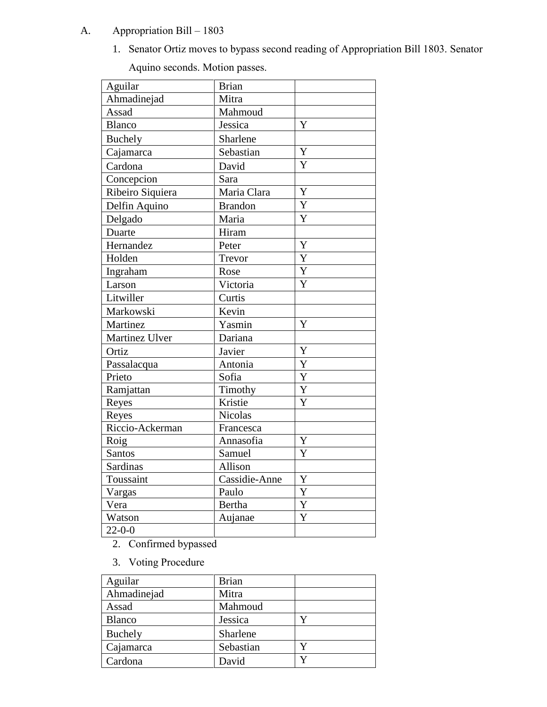## A. Appropriation Bill – 1803

1. Senator Ortiz moves to bypass second reading of Appropriation Bill 1803. Senator

Aquino seconds. Motion passes.

| Aguilar          | <b>Brian</b>   |                |
|------------------|----------------|----------------|
| Ahmadinejad      | Mitra          |                |
| Assad            | Mahmoud        |                |
| <b>Blanco</b>    | Jessica        | Y              |
| <b>Buchely</b>   | Sharlene       |                |
| Cajamarca        | Sebastian      | $\overline{Y}$ |
| Cardona          | David          | Y              |
| Concepcion       | Sara           |                |
| Ribeiro Siquiera | Maria Clara    | Y              |
| Delfin Aquino    | <b>Brandon</b> | Y              |
| Delgado          | Maria          | $\overline{Y}$ |
| Duarte           | Hiram          |                |
| Hernandez        | Peter          | Y              |
| Holden           | Trevor         | Y              |
| Ingraham         | Rose           | Y              |
| Larson           | Victoria       | Y              |
| Litwiller        | Curtis         |                |
| Markowski        | Kevin          |                |
| Martinez         | Yasmin         | Y              |
| Martinez Ulver   | Dariana        |                |
| Ortiz            | Javier         | Y              |
| Passalacqua      | Antonia        | Y              |
| Prieto           | Sofia          | Y              |
| Ramjattan        | Timothy        | Y              |
| Reyes            | Kristie        | $\overline{Y}$ |
| Reyes            | Nicolas        |                |
| Riccio-Ackerman  | Francesca      |                |
| Roig             | Annasofia      | $\mathbf Y$    |
| <b>Santos</b>    | Samuel         | Y              |
| <b>Sardinas</b>  | Allison        |                |
| Toussaint        | Cassidie-Anne  | Y              |
| Vargas           | Paulo          | Y              |
| Vera             | Bertha         | Y              |
| Watson           | Aujanae        | Y              |
| $22 - 0 - 0$     |                |                |

2. Confirmed bypassed

3. Voting Procedure

| Aguilar       | <b>Brian</b> |  |
|---------------|--------------|--|
| Ahmadinejad   | Mitra        |  |
| Assad         | Mahmoud      |  |
| <b>Blanco</b> | Jessica      |  |
| Buchely       | Sharlene     |  |
| Cajamarca     | Sebastian    |  |
| Cardona       | David        |  |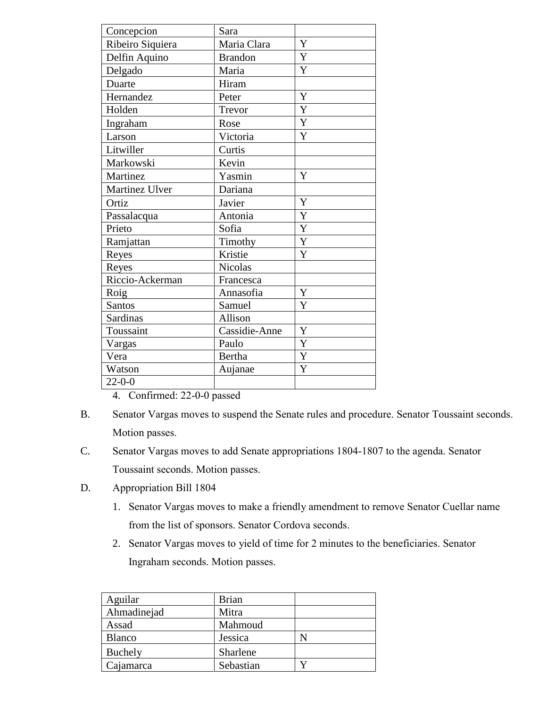| Concepcion       | Sara           |             |
|------------------|----------------|-------------|
| Ribeiro Siquiera | Maria Clara    | Y           |
| Delfin Aquino    | <b>Brandon</b> | Y           |
| Delgado          | Maria          | Y           |
| Duarte           | Hiram          |             |
| Hernandez        | Peter          | Y           |
| Holden           | Trevor         | Y           |
| Ingraham         | Rose           | Y           |
| Larson           | Victoria       | Y           |
| Litwiller        | Curtis         |             |
| Markowski        | Kevin          |             |
| Martinez         | Yasmin         | Y           |
| Martinez Ulver   | Dariana        |             |
| Ortiz            | Javier         | Y           |
| Passalacqua      | Antonia        | Y           |
| Prieto           | Sofia          | Y           |
| Ramjattan        | Timothy        | Y           |
| Reyes            | Kristie        | Y           |
| Reyes            | <b>Nicolas</b> |             |
| Riccio-Ackerman  | Francesca      |             |
| Roig             | Annasofia      | $\mathbf Y$ |
| <b>Santos</b>    | Samuel         | Y           |
| Sardinas         | Allison        |             |
| Toussaint        | Cassidie-Anne  | Y           |
| Vargas           | Paulo          | Y           |
| Vera             | <b>Bertha</b>  | Y           |
| Watson           | Aujanae        | Y           |
| $22 - 0 - 0$     |                |             |

4. Confirmed: 22-0-0 passed

- B. Senator Vargas moves to suspend the Senate rules and procedure. Senator Toussaint seconds. Motion passes.
- C. Senator Vargas moves to add Senate appropriations 1804-1807 to the agenda. Senator Toussaint seconds. Motion passes.
- D. Appropriation Bill 1804
	- 1. Senator Vargas moves to make a friendly amendment to remove Senator Cuellar name from the list of sponsors. Senator Cordova seconds.
	- 2. Senator Vargas moves to yield of time for 2 minutes to the beneficiaries. Senator Ingraham seconds. Motion passes.

| Aguilar       | <b>Brian</b> |  |
|---------------|--------------|--|
| Ahmadinejad   | Mitra        |  |
| Assad         | Mahmoud      |  |
| <b>Blanco</b> | Jessica      |  |
| Buchely       | Sharlene     |  |
| Cajamarca     | Sebastian    |  |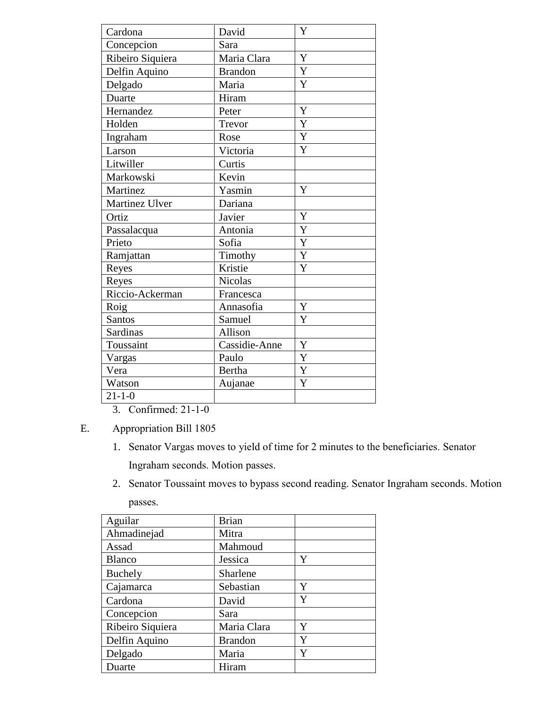| Cardona          | David          | Y              |
|------------------|----------------|----------------|
| Concepcion       | Sara           |                |
| Ribeiro Siquiera | Maria Clara    | Y              |
| Delfin Aquino    | <b>Brandon</b> | Y              |
| Delgado          | Maria          | Y              |
| Duarte           | Hiram          |                |
| Hernandez        | Peter          | Y              |
| Holden           | Trevor         | Y              |
| Ingraham         | Rose           | Y              |
| Larson           | Victoria       | Y              |
| Litwiller        | Curtis         |                |
| Markowski        | Kevin          |                |
| Martinez         | Yasmin         | Y              |
| Martinez Ulver   | Dariana        |                |
| Ortiz            | Javier         | Y              |
| Passalacqua      | Antonia        | Y              |
| Prieto           | Sofia          | Y              |
| Ramjattan        | Timothy        | Y              |
| Reyes            | Kristie        | Y              |
| Reyes            | <b>Nicolas</b> |                |
| Riccio-Ackerman  | Francesca      |                |
| Roig             | Annasofia      | Y              |
| <b>Santos</b>    | Samuel         | Y              |
| Sardinas         | Allison        |                |
| Toussaint        | Cassidie-Anne  | Y              |
| Vargas           | Paulo          | $\overline{Y}$ |
| Vera             | Bertha         | Y              |
| Watson           | Aujanae        | Y              |
| $21 - 1 - 0$     |                |                |

3. Confirmed: 21-1-0

E. Appropriation Bill 1805

- 1. Senator Vargas moves to yield of time for 2 minutes to the beneficiaries. Senator Ingraham seconds. Motion passes.
- 2. Senator Toussaint moves to bypass second reading. Senator Ingraham seconds. Motion passes.

| Aguilar          | <b>Brian</b>   |   |
|------------------|----------------|---|
| Ahmadinejad      | Mitra          |   |
| Assad            | Mahmoud        |   |
| <b>Blanco</b>    | Jessica        | Y |
| Buchely          | Sharlene       |   |
| Cajamarca        | Sebastian      | Y |
| Cardona          | David          | Y |
| Concepcion       | Sara           |   |
| Ribeiro Siquiera | Maria Clara    | Y |
| Delfin Aquino    | <b>Brandon</b> | Y |
| Delgado          | Maria          | Y |
| Duarte           | Hiram          |   |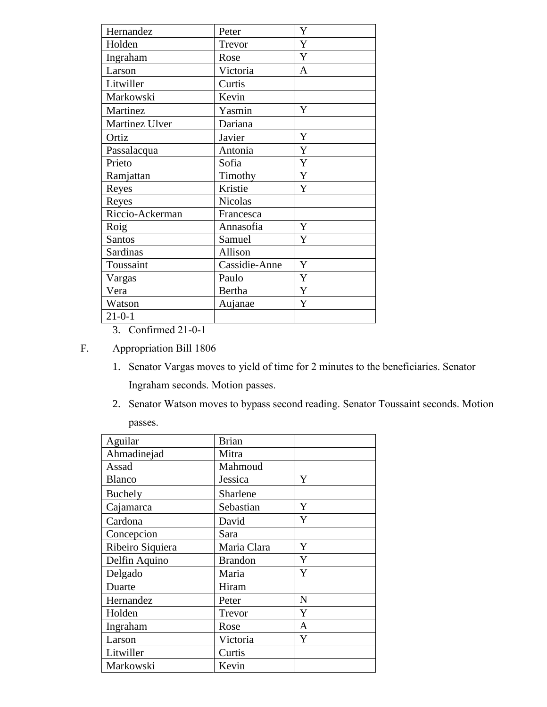| Hernandez       | Peter         | Y |
|-----------------|---------------|---|
| Holden          | Trevor        | Y |
| Ingraham        | Rose          | Y |
| Larson          | Victoria      | A |
| Litwiller       | Curtis        |   |
| Markowski       | Kevin         |   |
| Martinez        | Yasmin        | Y |
| Martinez Ulver  | Dariana       |   |
| Ortiz           | Javier        | Y |
| Passalacqua     | Antonia       | Y |
| Prieto          | Sofia         | Y |
| Ramjattan       | Timothy       | Y |
| Reyes           | Kristie       | Y |
| Reyes           | Nicolas       |   |
| Riccio-Ackerman | Francesca     |   |
| Roig            | Annasofia     | Y |
| <b>Santos</b>   | Samuel        | Y |
| Sardinas        | Allison       |   |
| Toussaint       | Cassidie-Anne | Y |
| Vargas          | Paulo         | Y |
| Vera            | <b>Bertha</b> | Y |
| Watson          | Aujanae       | Y |
| $21 - 0 - 1$    |               |   |

3. Confirmed 21-0-1

### F. Appropriation Bill 1806

- 1. Senator Vargas moves to yield of time for 2 minutes to the beneficiaries. Senator Ingraham seconds. Motion passes.
- 2. Senator Watson moves to bypass second reading. Senator Toussaint seconds. Motion passes.

| Aguilar          | <b>Brian</b>   |   |
|------------------|----------------|---|
| Ahmadinejad      | Mitra          |   |
| Assad            | Mahmoud        |   |
| <b>Blanco</b>    | Jessica        | Y |
| Buchely          | Sharlene       |   |
| Cajamarca        | Sebastian      | Y |
| Cardona          | David          | Y |
| Concepcion       | Sara           |   |
| Ribeiro Siquiera | Maria Clara    | Y |
| Delfin Aquino    | <b>Brandon</b> | Y |
| Delgado          | Maria          | Y |
| Duarte           | Hiram          |   |
| Hernandez        | Peter          | N |
| Holden           | Trevor         | Y |
| Ingraham         | Rose           | A |
| Larson           | Victoria       | Y |
| Litwiller        | Curtis         |   |
| Markowski        | Kevin          |   |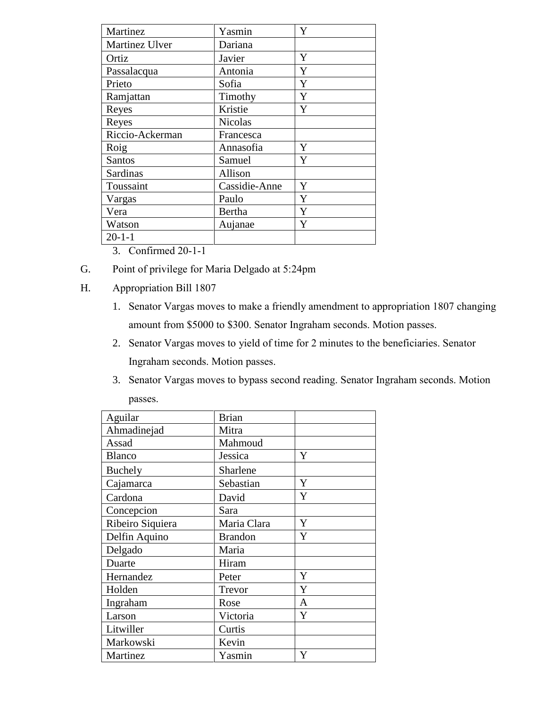| Martinez        | Yasmin         | Y |
|-----------------|----------------|---|
| Martinez Ulver  | Dariana        |   |
| Ortiz           | Javier         | Y |
| Passalacqua     | Antonia        | Y |
| Prieto          | Sofia          | Y |
| Ramjattan       | Timothy        | Y |
| Reyes           | Kristie        | Y |
| Reyes           | <b>Nicolas</b> |   |
| Riccio-Ackerman | Francesca      |   |
| Roig            | Annasofia      | Y |
| <b>Santos</b>   | Samuel         | Y |
| Sardinas        | Allison        |   |
| Toussaint       | Cassidie-Anne  | Y |
| Vargas          | Paulo          | Y |
| Vera            | Bertha         | Y |
| Watson          | Aujanae        | Y |
| $20 - 1 - 1$    |                |   |
|                 |                |   |

3. Confirmed 20-1-1

- G. Point of privilege for Maria Delgado at 5:24pm
- H. Appropriation Bill 1807
	- 1. Senator Vargas moves to make a friendly amendment to appropriation 1807 changing amount from \$5000 to \$300. Senator Ingraham seconds. Motion passes.
	- 2. Senator Vargas moves to yield of time for 2 minutes to the beneficiaries. Senator Ingraham seconds. Motion passes.
	- 3. Senator Vargas moves to bypass second reading. Senator Ingraham seconds. Motion passes.

| Aguilar          | <b>Brian</b>   |   |
|------------------|----------------|---|
| Ahmadinejad      | Mitra          |   |
| Assad            | Mahmoud        |   |
| <b>Blanco</b>    | Jessica        | Y |
| Buchely          | Sharlene       |   |
| Cajamarca        | Sebastian      | Y |
| Cardona          | David          | Y |
| Concepcion       | Sara           |   |
| Ribeiro Siquiera | Maria Clara    | Y |
| Delfin Aquino    | <b>Brandon</b> | Y |
| Delgado          | Maria          |   |
| Duarte           | Hiram          |   |
| Hernandez        | Peter          | Y |
| Holden           | Trevor         | Y |
| Ingraham         | Rose           | A |
| Larson           | Victoria       | Y |
| Litwiller        | Curtis         |   |
| Markowski        | Kevin          |   |
| Martinez         | Yasmin         | Y |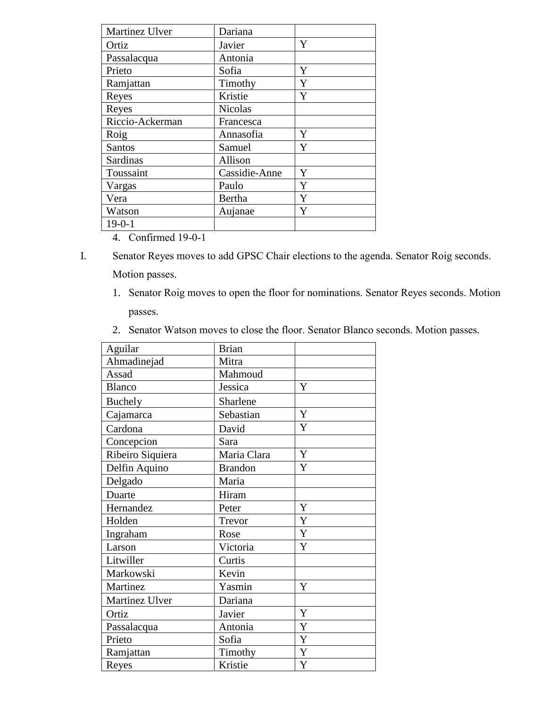| Martinez Ulver  | Dariana        |   |
|-----------------|----------------|---|
| Ortiz           | Javier         | Y |
| Passalacqua     | Antonia        |   |
| Prieto          | Sofia          | Y |
| Ramjattan       | Timothy        | Y |
| Reyes           | Kristie        | Y |
| Reyes           | <b>Nicolas</b> |   |
| Riccio-Ackerman | Francesca      |   |
| Roig            | Annasofia      | Y |
| <b>Santos</b>   | Samuel         | Y |
| Sardinas        | Allison        |   |
| Toussaint       | Cassidie-Anne  | Y |
| Vargas          | Paulo          | Y |
| Vera            | Bertha         | Y |
| Watson          | Aujanae        | Y |
| $19 - 0 - 1$    |                |   |
|                 |                |   |

4. Confirmed 19-0-1

- I. Senator Reyes moves to add GPSC Chair elections to the agenda. Senator Roig seconds. Motion passes.
	- 1. Senator Roig moves to open the floor for nominations. Senator Reyes seconds. Motion passes.
	- 2. Senator Watson moves to close the floor. Senator Blanco seconds. Motion passes.

| Aguilar          | <b>Brian</b>   |             |
|------------------|----------------|-------------|
| Ahmadinejad      | Mitra          |             |
| Assad            | Mahmoud        |             |
| Blanco           | Jessica        | Y           |
| <b>Buchely</b>   | Sharlene       |             |
| Cajamarca        | Sebastian      | Y           |
| Cardona          | David          | Y           |
| Concepcion       | Sara           |             |
| Ribeiro Siquiera | Maria Clara    | $\mathbf Y$ |
| Delfin Aquino    | <b>Brandon</b> | Y           |
| Delgado          | Maria          |             |
| Duarte           | Hiram          |             |
| Hernandez        | Peter          | Y           |
| Holden           | Trevor         | Y           |
| Ingraham         | Rose           | $\mathbf Y$ |
| Larson           | Victoria       | Y           |
| Litwiller        | Curtis         |             |
| Markowski        | Kevin          |             |
| Martinez         | Yasmin         | Y           |
| Martinez Ulver   | Dariana        |             |
| Ortiz            | Javier         | Y           |
| Passalacqua      | Antonia        | Y           |
| Prieto           | Sofia          | Y           |
| Ramjattan        | Timothy        | Y           |
| Reyes            | Kristie        | Y           |